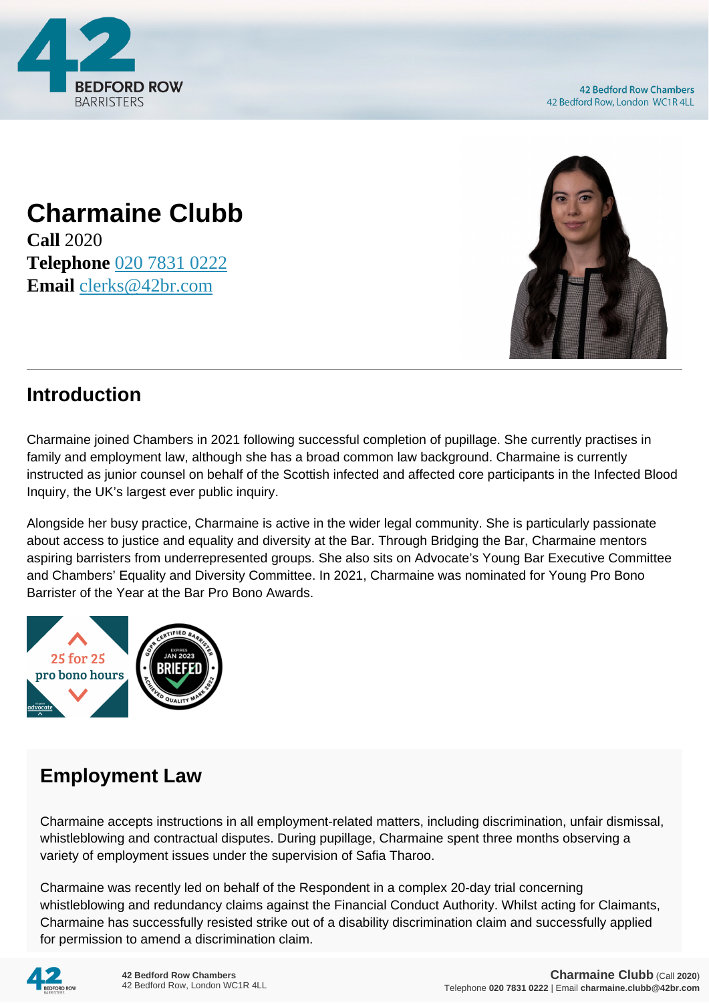

## **Charmaine Clubb**

**Call** 2020 **Telephone** [020 7831 0222](https://pdf.codeshore.co/_42br/tel:020 7831 0222) **Email** [clerks@42br.com](mailto:clerks@42br.com)



## **Introduction**

Charmaine joined Chambers in 2021 following successful completion of pupillage. She currently practises in family and employment law, although she has a broad common law background. Charmaine is currently instructed as junior counsel on behalf of the Scottish infected and affected core participants in the Infected Blood Inquiry, the UK's largest ever public inquiry.

Alongside her busy practice, Charmaine is active in the wider legal community. She is particularly passionate about access to justice and equality and diversity at the Bar. Through Bridging the Bar, Charmaine mentors aspiring barristers from underrepresented groups. She also sits on Advocate's Young Bar Executive Committee and Chambers' Equality and Diversity Committee. In 2021, Charmaine was nominated for Young Pro Bono Barrister of the Year at the Bar Pro Bono Awards.



## **Employment Law**

Charmaine accepts instructions in all employment-related matters, including discrimination, unfair dismissal, whistleblowing and contractual disputes. During pupillage, Charmaine spent three months observing a variety of employment issues under the supervision of Safia Tharoo.

Charmaine was recently led on behalf of the Respondent in a complex 20-day trial concerning whistleblowing and redundancy claims against the Financial Conduct Authority. Whilst acting for Claimants, Charmaine has successfully resisted strike out of a disability discrimination claim and successfully applied for permission to amend a discrimination claim.